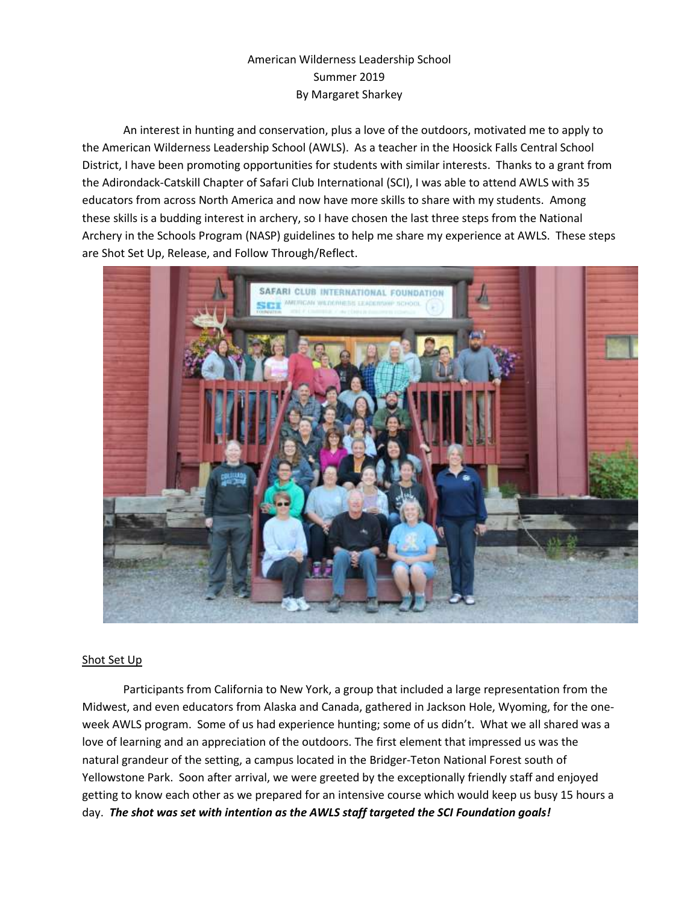# American Wilderness Leadership School Summer 2019 By Margaret Sharkey

An interest in hunting and conservation, plus a love of the outdoors, motivated me to apply to the American Wilderness Leadership School (AWLS). As a teacher in the Hoosick Falls Central School District, I have been promoting opportunities for students with similar interests. Thanks to a grant from the Adirondack-Catskill Chapter of Safari Club International (SCI), I was able to attend AWLS with 35 educators from across North America and now have more skills to share with my students. Among these skills is a budding interest in archery, so I have chosen the last three steps from the National Archery in the Schools Program (NASP) guidelines to help me share my experience at AWLS. These steps are Shot Set Up, Release, and Follow Through/Reflect.



#### Shot Set Up

Participants from California to New York, a group that included a large representation from the Midwest, and even educators from Alaska and Canada, gathered in Jackson Hole, Wyoming, for the oneweek AWLS program. Some of us had experience hunting; some of us didn't. What we all shared was a love of learning and an appreciation of the outdoors. The first element that impressed us was the natural grandeur of the setting, a campus located in the Bridger-Teton National Forest south of Yellowstone Park. Soon after arrival, we were greeted by the exceptionally friendly staff and enjoyed getting to know each other as we prepared for an intensive course which would keep us busy 15 hours a day. *The shot was set with intention as the AWLS staff targeted the SCI Foundation goals!*